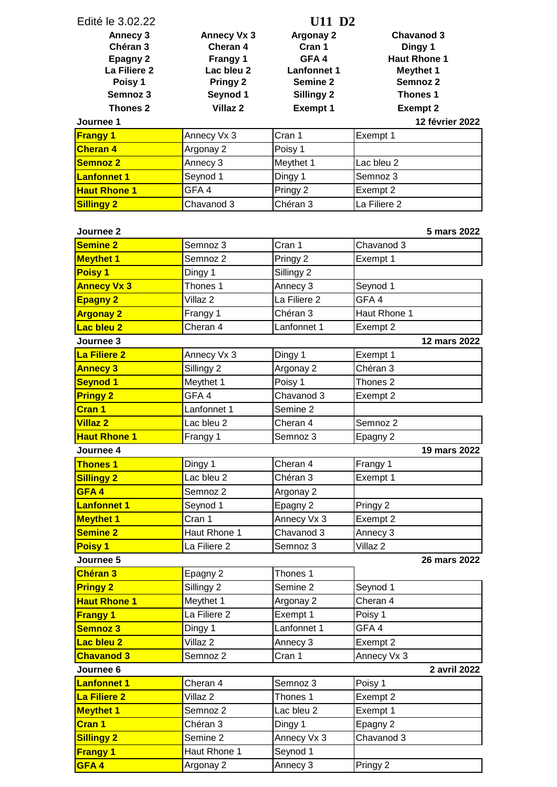| Edité le 3.02.22          | U11 D <sub>2</sub>  |                    |                     |  |
|---------------------------|---------------------|--------------------|---------------------|--|
| Annecy 3                  | <b>Annecy Vx 3</b>  | Argonay 2          | <b>Chavanod 3</b>   |  |
| Chéran 3                  | Cheran 4            | Cran 1             | Dingy 1             |  |
| <b>Epagny 2</b>           | Frangy 1            | GFA4               | <b>Haut Rhone 1</b> |  |
| La Filiere 2              | Lac bleu 2          | <b>Lanfonnet 1</b> | <b>Meythet 1</b>    |  |
| Poisy 1                   | Pringy 2            | Semine 2           | Semnoz 2            |  |
| Semnoz 3                  | Seynod 1            | <b>Sillingy 2</b>  | Thones 1            |  |
| Thones <sub>2</sub>       | Villaz <sub>2</sub> | <b>Exempt 1</b>    | <b>Exempt 2</b>     |  |
| Journee 1                 |                     |                    | 12 février 2022     |  |
| <b>Frangy 1</b>           | Annecy Vx 3         | Cran 1             | Exempt 1            |  |
| <b>Cheran 4</b>           | Argonay 2           | Poisy 1            |                     |  |
| <b>Semnoz 2</b>           | Annecy 3            | Meythet 1          | Lac bleu 2          |  |
| <b>Lanfonnet 1</b>        | Seynod 1            | Dingy 1            | Semnoz 3            |  |
| <b>Haut Rhone 1</b>       | GFA4                | Pringy 2           | Exempt 2            |  |
| <b>Sillingy 2</b>         | Chavanod 3          | Chéran 3           | La Filiere 2        |  |
| Journee <sub>2</sub>      |                     |                    | 5 mars 2022         |  |
| <b>Semine 2</b>           | Semnoz 3            | Cran 1             | Chavanod 3          |  |
| <b>Meythet 1</b>          | Semnoz 2            | Pringy 2           | Exempt 1            |  |
| <b>Poisy 1</b>            | Dingy 1             | Sillingy 2         |                     |  |
| <b>Annecy Vx 3</b>        | Thones 1            | Annecy 3           | Seynod 1            |  |
| <b>Epagny 2</b>           | Villaz <sub>2</sub> | La Filiere 2       | GFA4                |  |
| <b>Argonay 2</b>          | Frangy 1            | Chéran 3           | Haut Rhone 1        |  |
| Lac bleu 2                | Cheran 4            | Lanfonnet 1        | Exempt 2            |  |
| Journee 3                 |                     |                    | 12 mars 2022        |  |
| La Filiere 2              | Annecy Vx 3         | Dingy 1            | Exempt 1            |  |
| <b>Annecy 3</b>           | Sillingy 2          | Argonay 2          | Chéran 3            |  |
| <b>Seynod 1</b>           | Meythet 1           | Poisy 1            | Thones <sub>2</sub> |  |
| <b>Pringy 2</b>           | GFA4                | Chavanod 3         | Exempt 2            |  |
| <b>Cran 1</b>             | Lanfonnet 1         | Semine 2           |                     |  |
| <b>Villaz 2</b>           | Lac bleu 2          | Cheran 4           | Semnoz 2            |  |
| <b>Haut Rhone 1</b>       | Frangy 1            | Semnoz 3           | Epagny 2            |  |
| Journee 4                 |                     |                    | 19 mars 2022        |  |
| <b>Thones 1</b>           | Dingy 1             | Cheran 4           | Frangy 1            |  |
| <b>Sillingy 2</b>         | Lac bleu 2          | Chéran 3           | Exempt 1            |  |
| GFA4                      | Semnoz 2            | Argonay 2          |                     |  |
| <b>Lanfonnet 1</b>        | Seynod 1            | Epagny 2           | Pringy 2            |  |
| <b>Meythet 1</b>          | Cran 1              | Annecy Vx 3        | Exempt 2            |  |
| <b>Semine 2</b>           | Haut Rhone 1        | Chavanod 3         | Annecy 3            |  |
| <b>Poisy 1</b>            | La Filiere 2        | Semnoz 3           | Villaz 2            |  |
| Journee 5<br>26 mars 2022 |                     |                    |                     |  |
| <b>Chéran 3</b>           | Epagny 2            | Thones 1           |                     |  |
| <b>Pringy 2</b>           | Sillingy 2          | Semine 2           | Seynod 1            |  |
| <b>Haut Rhone 1</b>       | Meythet 1           | Argonay 2          | Cheran 4            |  |
| <b>Frangy 1</b>           | La Filiere 2        | Exempt 1           | Poisy 1             |  |
| Semnoz 3                  | Dingy 1             | Lanfonnet 1        | GFA4                |  |
| Lac bleu 2                | Villaz <sub>2</sub> | Annecy 3           | Exempt 2            |  |
| <b>Chavanod 3</b>         | Semnoz 2            | Cran 1             | Annecy Vx 3         |  |
| Journee <sub>6</sub>      |                     |                    | 2 avril 2022        |  |
| <b>Lanfonnet 1</b>        | Cheran 4            | Semnoz 3           | Poisy 1             |  |
| La Filiere 2              | Villaz <sub>2</sub> | Thones 1           | Exempt 2            |  |
| <b>Meythet 1</b>          | Semnoz 2            | Lac bleu 2         | Exempt 1            |  |
| <b>Cran 1</b>             | Chéran 3            | Dingy 1            | Epagny 2            |  |
| <b>Sillingy 2</b>         | Semine 2            | Annecy Vx 3        | Chavanod 3          |  |
| <b>Frangy 1</b>           | Haut Rhone 1        | Seynod 1           |                     |  |
| GFA4                      | Argonay 2           | Annecy 3           | Pringy 2            |  |
|                           |                     |                    |                     |  |